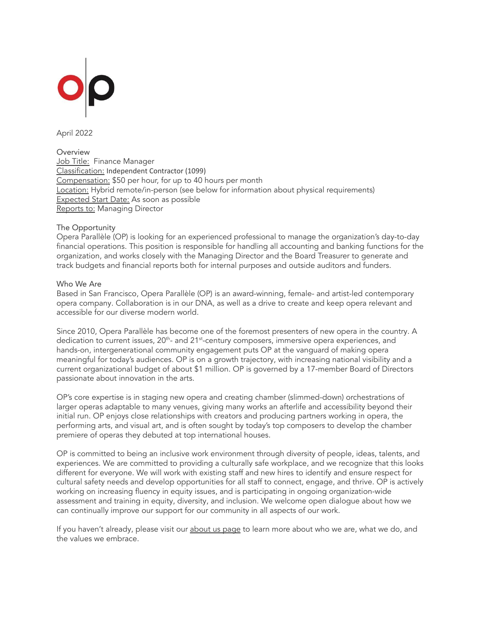

April 2022

**Overview** Job Title: Finance Manager Classification: Independent Contractor (1099) Compensation: \$50 per hour, for up to 40 hours per month Location: Hybrid remote/in-person (see below for information about physical requirements) Expected Start Date: As soon as possible Reports to: Managing Director

## The Opportunity

Opera Parallèle (OP) is looking for an experienced professional to manage the organization's day-to-day financial operations. This position is responsible for handling all accounting and banking functions for the organization, and works closely with the Managing Director and the Board Treasurer to generate and track budgets and financial reports both for internal purposes and outside auditors and funders.

## Who We Are

Based in San Francisco, Opera Parallèle (OP) is an award-winning, female- and artist-led contemporary opera company. Collaboration is in our DNA, as well as a drive to create and keep opera relevant and accessible for our diverse modern world.

Since 2010, Opera Parallèle has become one of the foremost presenters of new opera in the country. A dedication to current issues, 20<sup>th</sup>- and 21<sup>st</sup>-century composers, immersive opera experiences, and hands-on, intergenerational community engagement puts OP at the vanguard of making opera meaningful for today's audiences. OP is on a growth trajectory, with increasing national visibility and a current organizational budget of about \$1 million. OP is governed by a 17-member Board of Directors passionate about innovation in the arts.

OP's core expertise is in staging new opera and creating chamber (slimmed-down) orchestrations of larger operas adaptable to many venues, giving many works an afterlife and accessibility beyond their initial run. OP enjoys close relationships with creators and producing partners working in opera, the performing arts, and visual art, and is often sought by today's top composers to develop the chamber premiere of operas they debuted at top international houses.

OP is committed to being an inclusive work environment through diversity of people, ideas, talents, and experiences. We are committed to providing a culturally safe workplace, and we recognize that this looks different for everyone. We will work with existing staff and new hires to identify and ensure respect for cultural safety needs and develop opportunities for all staff to connect, engage, and thrive. OP is actively working on increasing fluency in equity issues, and is participating in ongoing organization-wide assessment and training in equity, diversity, and inclusion. We welcome open dialogue about how we can continually improve our support for our community in all aspects of our work.

If you haven't already, please visit our [about](https://operaparallele.org/about-us/) us page to learn more about who we are, what we do, and the values we embrace.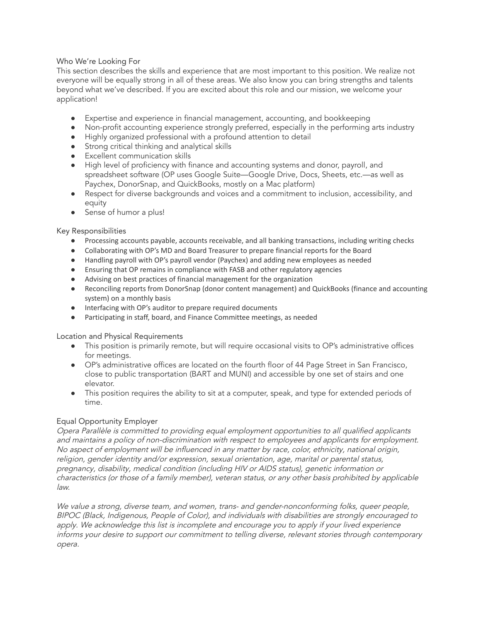Who We're Looking For

This section describes the skills and experience that are most important to this position. We realize not everyone will be equally strong in all of these areas. We also know you can bring strengths and talents beyond what we've described. If you are excited about this role and our mission, we welcome your application!

- Expertise and experience in financial management, accounting, and bookkeeping
- Non-profit accounting experience strongly preferred, especially in the performing arts industry
- Highly organized professional with a profound attention to detail
- Strong critical thinking and analytical skills
- Excellent communication skills
- High level of proficiency with finance and accounting systems and donor, payroll, and spreadsheet software (OP uses Google Suite—Google Drive, Docs, Sheets, etc.—as well as Paychex, DonorSnap, and QuickBooks, mostly on a Mac platform)
- Respect for diverse backgrounds and voices and a commitment to inclusion, accessibility, and equity
- Sense of humor a plus!

Key Responsibilities

- Processing accounts payable, accounts receivable, and all banking transactions, including writing checks
- Collaborating with OP's MD and Board Treasurer to prepare financial reports for the Board
- Handling payroll with OP's payroll vendor (Paychex) and adding new employees as needed
- Ensuring that OP remains in compliance with FASB and other regulatory agencies
- Advising on best practices of financial management for the organization
- Reconciling reports from DonorSnap (donor content management) and QuickBooks (finance and accounting system) on a monthly basis
- Interfacing with OP's auditor to prepare required documents
- Participating in staff, board, and Finance Committee meetings, as needed

Location and Physical Requirements

- This position is primarily remote, but will require occasional visits to OP's administrative offices for meetings.
- OP's administrative offices are located on the fourth floor of 44 Page Street in San Francisco, close to public transportation (BART and MUNI) and accessible by one set of stairs and one elevator.
- This position requires the ability to sit at a computer, speak, and type for extended periods of time.

## Equal Opportunity Employer

Opera Parallèle is committed to providing equal employment opportunities to all qualified applicants and maintains <sup>a</sup> policy of non-discrimination with respect to employees and applicants for employment. No aspect of employment will be influenced in any matter by race, color, ethnicity, national origin, religion, gender identity and/or expression, sexual orientation, age, marital or parental status, pregnancy, disability, medical condition (including HIV or AIDS status), genetic information or characteristics (or those of <sup>a</sup> family member), veteran status, or any other basis prohibited by applicable law.

We value <sup>a</sup> strong, diverse team, and women, trans- and gender-nonconforming folks, queer people, BIPOC (Black, Indigenous, People of Color), and individuals with disabilities are strongly encouraged to apply. We acknowledge this list is incomplete and encourage you to apply if your lived experience informs your desire to support our commitment to telling diverse, relevant stories through contemporary opera.